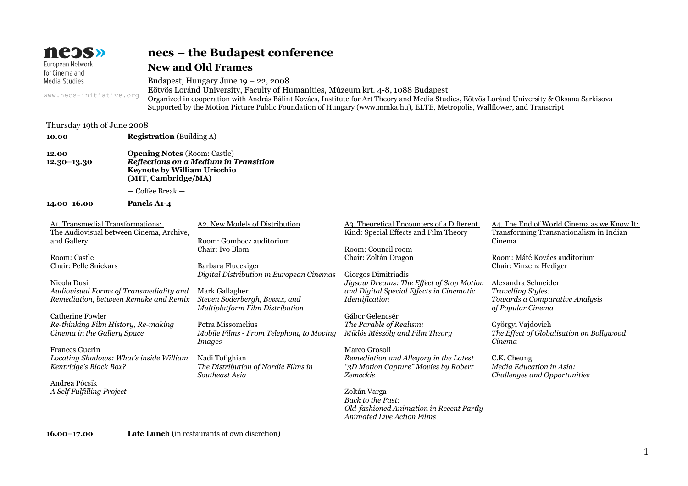| neɔs»                                                                                                                                                                                                                                                                                                            |                                                                                                |                                  | necs – the Budapest conference                                                                                                                                                                                                                                                                                                                             |                                                                                                                                                                                                                                                                                                                 |                                                                                                                                                                                                                                                                                    |  |  |
|------------------------------------------------------------------------------------------------------------------------------------------------------------------------------------------------------------------------------------------------------------------------------------------------------------------|------------------------------------------------------------------------------------------------|----------------------------------|------------------------------------------------------------------------------------------------------------------------------------------------------------------------------------------------------------------------------------------------------------------------------------------------------------------------------------------------------------|-----------------------------------------------------------------------------------------------------------------------------------------------------------------------------------------------------------------------------------------------------------------------------------------------------------------|------------------------------------------------------------------------------------------------------------------------------------------------------------------------------------------------------------------------------------------------------------------------------------|--|--|
| European Network<br>for Cinema and                                                                                                                                                                                                                                                                               |                                                                                                |                                  | <b>New and Old Frames</b>                                                                                                                                                                                                                                                                                                                                  |                                                                                                                                                                                                                                                                                                                 |                                                                                                                                                                                                                                                                                    |  |  |
| Media Studies                                                                                                                                                                                                                                                                                                    |                                                                                                |                                  | Budapest, Hungary June $19 - 22$ , 2008                                                                                                                                                                                                                                                                                                                    |                                                                                                                                                                                                                                                                                                                 |                                                                                                                                                                                                                                                                                    |  |  |
|                                                                                                                                                                                                                                                                                                                  | www.necs-initiative.org                                                                        |                                  | Eötvös Loránd University, Faculty of Humanities, Múzeum krt. 4-8, 1088 Budapest<br>Organized in cooperation with András Bálint Kovács, Institute for Art Theory and Media Studies, Eötvös Loránd University & Oksana Sarkisova<br>Supported by the Motion Picture Public Foundation of Hungary (www.mmka.hu), ELTE, Metropolis, Wallflower, and Transcript |                                                                                                                                                                                                                                                                                                                 |                                                                                                                                                                                                                                                                                    |  |  |
| Thursday 19th of June 2008                                                                                                                                                                                                                                                                                       |                                                                                                |                                  |                                                                                                                                                                                                                                                                                                                                                            |                                                                                                                                                                                                                                                                                                                 |                                                                                                                                                                                                                                                                                    |  |  |
| 10.00                                                                                                                                                                                                                                                                                                            |                                                                                                | <b>Registration</b> (Building A) |                                                                                                                                                                                                                                                                                                                                                            |                                                                                                                                                                                                                                                                                                                 |                                                                                                                                                                                                                                                                                    |  |  |
| 12.00<br>$12.30 - 13.30$                                                                                                                                                                                                                                                                                         | <b>Opening Notes (Room: Castle)</b><br>Keynote by William Uricchio<br>(MIT, Cambridge/MA)      |                                  | Reflections on a Medium in Transition                                                                                                                                                                                                                                                                                                                      |                                                                                                                                                                                                                                                                                                                 |                                                                                                                                                                                                                                                                                    |  |  |
|                                                                                                                                                                                                                                                                                                                  |                                                                                                | - Coffee Break -                 |                                                                                                                                                                                                                                                                                                                                                            |                                                                                                                                                                                                                                                                                                                 |                                                                                                                                                                                                                                                                                    |  |  |
| $14.00 - 16.00$                                                                                                                                                                                                                                                                                                  |                                                                                                | Panels A1-4                      |                                                                                                                                                                                                                                                                                                                                                            |                                                                                                                                                                                                                                                                                                                 |                                                                                                                                                                                                                                                                                    |  |  |
| A1. Transmedial Transformations:<br>The Audiovisual between Cinema, Archive,<br>and Gallery<br>Room: Castle<br><b>Chair: Pelle Snickars</b><br>Nicola Dusi<br>Audiovisual Forms of Transmediality and<br>Remediation, between Remake and Remix<br><b>Catherine Fowler</b><br>Re-thinking Film History, Re-making |                                                                                                |                                  | A2. New Models of Distribution<br>Room: Gombocz auditorium<br>Chair: Ivo Blom<br>Barbara Flueckiger<br>Digital Distribution in European Cinemas<br>Mark Gallagher<br>Steven Soderbergh, BUBBLE, and<br>Multiplatform Film Distribution<br>Petra Missomelius                                                                                                | A3. Theoretical Encounters of a Different<br>Kind: Special Effects and Film Theory<br>Room: Council room<br>Chair: Zoltán Dragon<br>Giorgos Dimitriadis<br>Jigsaw Dreams: The Effect of Stop Motion<br>and Digital Special Effects in Cinematic<br>Identification<br>Gábor Gelencsér<br>The Parable of Realism: | A4. The End of World Cinema as we Know It:<br>Transforming Transnationalism in Indian<br>Cinema<br>Room: Máté Kovács auditorium<br>Chair: Vinzenz Hediger<br>Alexandra Schneider<br>Travelling Styles:<br>Towards a Comparative Analysis<br>of Popular Cinema<br>Györgyi Vajdovich |  |  |
|                                                                                                                                                                                                                                                                                                                  | Cinema in the Gallery Space                                                                    |                                  | Mobile Films - From Telephony to Moving<br><b>Images</b>                                                                                                                                                                                                                                                                                                   | Miklós Mészöly and Film Theory                                                                                                                                                                                                                                                                                  | The Effect of Globalisation on Bollywood<br>Cinema                                                                                                                                                                                                                                 |  |  |
| <b>Frances Guerin</b><br>Andrea Pócsik                                                                                                                                                                                                                                                                           | Locating Shadows: What's inside William<br>Kentridge's Black Box?<br>A Self Fulfilling Project |                                  | Nadi Tofighian<br>The Distribution of Nordic Films in<br>Southeast Asia                                                                                                                                                                                                                                                                                    | Marco Grosoli<br>Remediation and Allegory in the Latest<br>"3D Motion Capture" Movies by Robert<br>Zemeckis<br>Zoltán Varga<br><b>Back to the Past:</b>                                                                                                                                                         | C.K. Cheung<br>Media Education in Asia:<br>Challenges and Opportunities                                                                                                                                                                                                            |  |  |
|                                                                                                                                                                                                                                                                                                                  |                                                                                                |                                  |                                                                                                                                                                                                                                                                                                                                                            | Old-fashioned Animation in Recent Partly<br>Animated Live Action Films                                                                                                                                                                                                                                          |                                                                                                                                                                                                                                                                                    |  |  |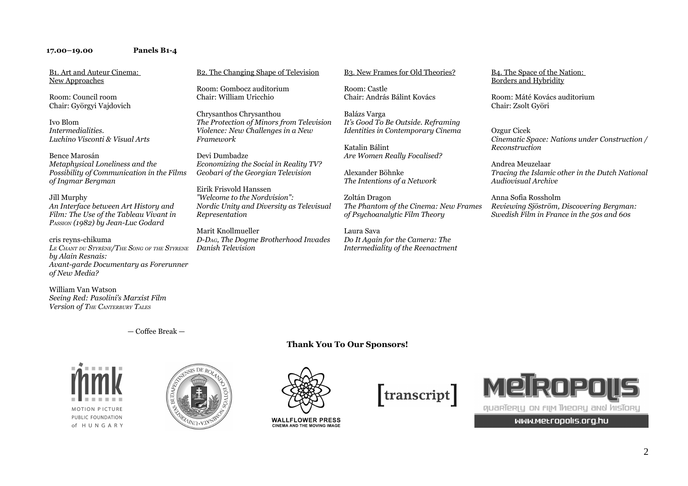### **17.00–19.00 Panels B1-4**

B1. Art and Auteur Cinema: New Approaches

Room: Council room Chair: Györgyi Vajdovich

Ivo Blom *Intermedialities. Luchino Visconti & Visual Arts*

Bence Marosán *Metaphysical Loneliness and the Possibility of Communication in the Films of Ingmar Bergman*

#### Jill Murphy

*An Interface between Art History and Film: The Use of the Tableau Vivant in PASSION (1982) by Jean-Luc Godard*

cris reyns-chikuma *LE CHANT DU STYRÈNE/THE SONG OF THE STYRENE by Alain Resnais: Avant-garde Documentary as Forerunner of New Media?*

William Van Watson *Seeing Red: Pasolini's Marxist Film Version of THE CANTERBURY TALES*

## B2. The Changing Shape of Television

Room: Gombocz auditorium Chair: William Uricchio

Chrysanthos Chrysanthou *The Protection of Minors from Television Violence: New Challenges in a New Framework*

Devi Dumbadze *Economizing the Social in Reality TV? Geobari of the Georgian Television* 

Eirik Frisvold Hanssen *"Welcome to the Nordvision": Nordic Unity and Diversity as Televisual Representation*

Marit Knollmueller *D-DAG, The Dogme Brotherhood Invades Danish Television*

### B3. New Frames for Old Theories?

Room: Castle Chair: András Bálint Kovács

Balázs Varga *It's Good To Be Outside. Reframing Identities in Contemporary Cinema*

Katalin Bálint *Are Women Really Focalised?*

Alexander Böhnke *The Intentions of a Network*

Zoltán Dragon *The Phantom of the Cinema: New Frames of Psychoanalytic Film Theory*

Laura Sava *Do It Again for the Camera: The Intermediality of the Reenactment*

#### B4. The Space of the Nation: Borders and Hybridity

Room: Máté Kovács auditorium Chair: Zsolt Györi

Ozgur Cicek *Cinematic Space: Nations under Construction / Reconstruction*

Andrea Meuzelaar *Tracing the Islamic other in the Dutch National Audiovisual Archive*

Anna Sofia Rossholm *Reviewing Sjöström, Discovering Bergman: Swedish Film in France in the 50s and 60s*

— Coffee Break —









**WALLFLOWER PRESS** CINEMA AND THE MOVING IMAGE





WWW.Metropolis.org.hu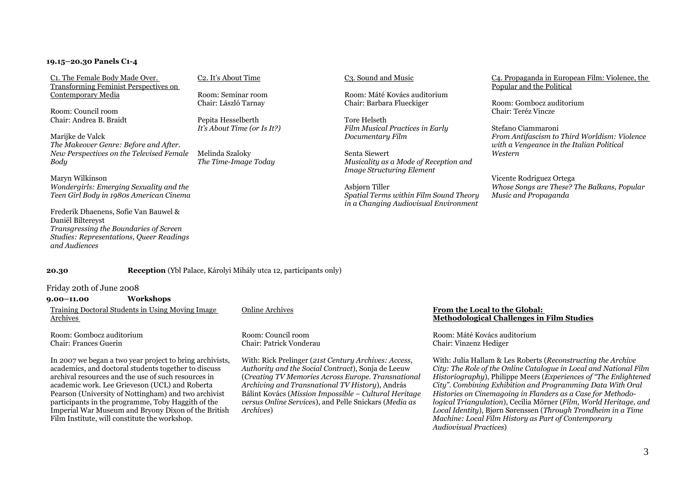### **19.15–20.30 Panels C1-4**

C1. The Female Body Made Over. Transforming Feminist Perspectives on Contemporary Media

Room: Council room Chair: Andrea B. Braidt

Marijke de Valck *The Makeover Genre: Before and After. New Perspectives on the Televised Female Body*

Maryn Wilkinson *Wondergirls: Emerging Sexuality and the Teen Girl Body in 1980s American Cinema*

Frederik Dhaenens, Sofie Van Bauwel & Daniël Biltereyst *Transgressing the Boundaries of Screen Studies: Representations, Queer Readings and Audiences*

#### C2. It's About Time

Room: Seminar room Chair: László Tarnay

Pepita Hesselberth *It's About Time (or Is It?)*

Melinda Szaloky *The Time-Image Today*

#### C3. Sound and Music

Room: Máté Kovács auditorium Chair: Barbara Flueckiger

Tore Helseth *Film Musical Practices in Early Documentary Film*

Senta Siewert *Musicality as a Mode of Reception and Image Structuring Element*

Asbjørn Tiller *Spatial Terms within Film Sound Theory in a Changing Audiovisual Environment*

#### C4. Propaganda in European Film: Violence, the Popular and the Political

Room: Gombocz auditorium Chair: Teréz Vincze

Stefano Ciammaroni *From Antifascism to Third Worldism: Violence with a Vengeance in the Italian Political Western*

Vicente Rodriguez Ortega *Whose Songs are These? The Balkans, Popular Music and Propaganda*

## **20.30 Reception** (Ybl Palace, Károlyi Mihály utca 12, participants only)

Friday 20th of June 2008

**9.00–11.00 Workshops**  Training Doctoral Students in Using Moving Image Archives

Room: Gombocz auditorium Chair: Frances Guerin

In 2007 we began a two year project to bring archivists, academics, and doctoral students together to discuss archival resources and the use of such resources in academic work. Lee Grieveson (UCL) and Roberta Pearson (University of Nottingham) and two archivist participants in the programme, Toby Haggith of the Imperial War Museum and Bryony Dixon of the British Film Institute, will constitute the workshop.

#### Online Archives

Room: Council room Chair: Patrick Vonderau

With: Rick Prelinger (*21st Century Archives: Access, Authority and the Social Contract*), Sonja de Leeuw (*Creating TV Memories Across Europe. Transnational Archiving and Transnational TV History*), András Bálint Kovács (*Mission Impossible – Cultural Heritage versus Online Service*s), and Pelle Snickars (*Media as Archives*)

#### **From the Local to the Global: Methodological Challenges in Film Studies**

Room: Máté Kovács auditorium Chair: Vinzenz Hediger

With: Julia Hallam & Les Roberts (*Reconstructing the Archive City: The Role of the Online Catalogue in Local and National Film Historiography*), Philippe Meers (*Experiences of "The Enlightened City". Combining Exhibition and Programming Data With Oral Histories on Cinemagoing in Flanders as a Case for Methodological Triangulation*), Cecilia Mörner (*Film, World Heritage, and Local Identity*), Bjørn Sørenssen (*Through Trondheim in a Time Machine: Local Film History as Part of Contemporary Audiovisual Practices*)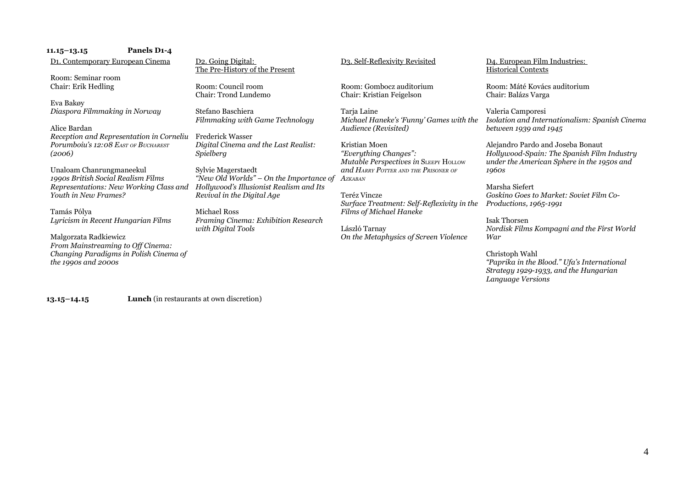| $11.15 - 13.15$                               | Panels D <sub>1</sub> -4                 |                                                                   |                                            |                                                             |
|-----------------------------------------------|------------------------------------------|-------------------------------------------------------------------|--------------------------------------------|-------------------------------------------------------------|
| D <sub>1</sub> . Contemporary European Cinema |                                          | D <sub>2</sub> . Going Digital:<br>The Pre-History of the Present | D3. Self-Reflexivity Revisited             | D4. European Film Industries:<br><b>Historical Contexts</b> |
| Room: Seminar room                            |                                          |                                                                   |                                            |                                                             |
| Chair: Erik Hedling                           |                                          | Room: Council room                                                | Room: Gombocz auditorium                   | Room: Máté Kovács auditorium                                |
|                                               |                                          | Chair: Trond Lundemo                                              | Chair: Kristian Feigelson                  | Chair: Balázs Varga                                         |
| Eva Bakøy                                     |                                          |                                                                   |                                            |                                                             |
| Diaspora Filmmaking in Norway                 |                                          | Stefano Baschiera                                                 | Tarja Laine                                | Valeria Camporesi                                           |
|                                               |                                          | Filmmaking with Game Technology                                   | Michael Haneke's 'Funny' Games with the    | Isolation and Internationalism: Spanish Cinema              |
| Alice Bardan                                  |                                          |                                                                   | Audience (Revisited)                       | between 1939 and 1945                                       |
|                                               | Reception and Representation in Corneliu | <b>Frederick Wasser</b>                                           |                                            |                                                             |
| Porumboiu's 12:08 EAST OF BUCHAREST           |                                          | Digital Cinema and the Last Realist:                              | Kristian Moen                              | Alejandro Pardo and Joseba Bonaut                           |
| (2006)                                        |                                          | <i>Spielberg</i>                                                  | "Everything Changes":                      | Hollywood-Spain: The Spanish Film Industry                  |
|                                               |                                          |                                                                   | Mutable Perspectives in SLEEPY HOLLOW      | under the American Sphere in the 1950s and                  |
| Unaloam Chanrungmaneekul                      |                                          | Sylvie Magerstaedt                                                | and HARRY POTTER AND THE PRISONER OF       | 1960s                                                       |
| 1990s British Social Realism Films            |                                          | "New Old Worlds" - On the Importance of                           | AZKABAN                                    |                                                             |
|                                               | Representations: New Working Class and   | Hollywood's Illusionist Realism and Its                           |                                            | Marsha Siefert                                              |
| Youth in New Frames?                          |                                          | Revival in the Digital Age                                        | Teréz Vincze                               | Goskino Goes to Market: Soviet Film Co-                     |
|                                               |                                          |                                                                   | Surface Treatment: Self-Reflexivity in the | <i>Productions, 1965-1991</i>                               |
| Tamás Pólya                                   |                                          | <b>Michael Ross</b>                                               | Films of Michael Haneke                    |                                                             |
| Lyricism in Recent Hungarian Films            |                                          | Framing Cinema: Exhibition Research                               |                                            | <b>Isak Thorsen</b>                                         |
|                                               |                                          | with Digital Tools                                                | László Tarnay                              | Nordisk Films Kompagni and the First World                  |
| Malgorzata Radkiewicz                         |                                          |                                                                   | On the Metaphysics of Screen Violence      | War                                                         |
| From Mainstreaming to Off Cinema:             |                                          |                                                                   |                                            |                                                             |
|                                               | Changing Paradigms in Polish Cinema of   |                                                                   |                                            | Christoph Wahl                                              |

*"Paprika in the Blood." Ufa's International Strategy 1929-1933, and the Hungarian Language Versions*

**13.15–14.15 Lunch** (in restaurants at own discretion)

*the 1990s and 2000s*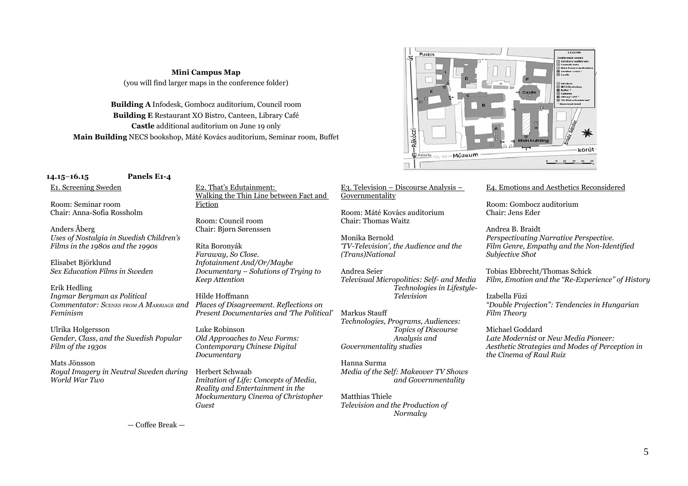# **Mini Campus Map** (you will find larger maps in the conference folder)

**Building A** Infodesk, Gombocz auditorium, Council room **Building E** Restaurant XO Bistro, Canteen, Library Café **Castle** additional auditorium on June 19 only **Main Building** NECS bookshop, Máté Kovács auditorium, Seminar room, Buffet



## **14.15**–**16.15 Panels E1-4**

E1. Screening Sweden

Room: Seminar room Chair: Anna-Sofia Rossholm

Anders Åberg *Uses of Nostalgia in Swedish Children's Films in the 1980s and the 1990s*

Elisabet Björklund *Sex Education Films in Sweden*

Erik Hedling *Ingmar Bergman as Political Commentator: SCENES FROM A MARRIAGE and Places of Disagreement. Reflections on Feminism*

Ulrika Holgersson *Gender, Class, and the Swedish Popular Film of the 1930s*

Mats Jönsson *Royal Imagery in Neutral Sweden during World War Two*

E2. That's Edutainment: Walking the Thin Line between Fact and Fiction

Room: Council room Chair: Bjørn Sørenssen

Rita Boronyák *Faraway, So Close. Infotainment And/Or/Maybe Documentary – Solutions of Trying to Keep Attention*

Hilde Hoffmann *Present Documentaries and 'The Political'*

Luke Robinson *Old Approaches to New Forms: Contemporary Chinese Digital Documentary*

Herbert Schwaab *Imitation of Life: Concepts of Media, Reality and Entertainment in the Mockumentary Cinema of Christopher Guest* 

## E3. Television – Discourse Analysis – Governmentality

Room: Máté Kovács auditorium Chair: Thomas Waitz

Monika Bernold *'TV-Television', the Audience and the (Trans)National*

Andrea Seier *Televisual Micropolitics: Self- and Media Technologies in Lifestyle-Television*

Markus Stauff *Technologies, Programs, Audiences: Topics of Discourse Analysis and Governmentality studies*

Hanna Surma *Media of the Self: Makeover TV Shows and Governmentality*

Matthias Thiele *Television and the Production of Normalcy*

## E4. Emotions and Aesthetics Reconsidered

Room: Gombocz auditorium Chair: Jens Eder

Andrea B. Braidt *Perspectivating Narrative Perspective. Film Genre, Empathy and the Non-Identified Subjective Shot*

Tobias Ebbrecht/Thomas Schick *Film, Emotion and the "Re-Experience" of History*

Izabella Füzi *"Double Projection": Tendencies in Hungarian Film Theory*

Michael Goddard *Late Modernist* or *New Media Pioneer: Aesthetic Strategies and Modes of Perception in the Cinema of Raul Ruiz*

— Coffee Break —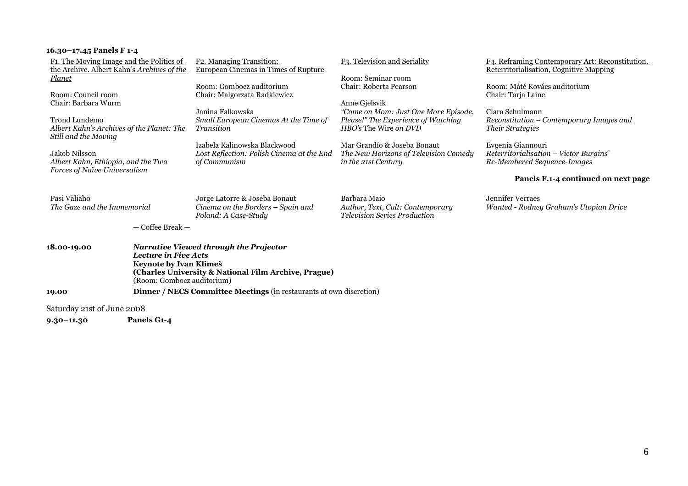| F1. The Moving Image and the Politics of<br>the Archive. Albert Kahn's Archives of the                      | F <sub>2</sub> . Managing Transition:<br><b>European Cinemas in Times of Rupture</b>                                                                                                         | F3. Television and Seriality                                                                                                 | F4. Reframing Contemporary Art: Reconstitution,<br><b>Reterritorialisation, Cognitive Mapping</b> |
|-------------------------------------------------------------------------------------------------------------|----------------------------------------------------------------------------------------------------------------------------------------------------------------------------------------------|------------------------------------------------------------------------------------------------------------------------------|---------------------------------------------------------------------------------------------------|
| <b>Planet</b><br>Room: Council room                                                                         | Room: Gombocz auditorium<br>Chair: Malgorzata Radkiewicz                                                                                                                                     | Room: Seminar room<br>Chair: Roberta Pearson                                                                                 | Room: Máté Kovács auditorium<br>Chair: Tarja Laine                                                |
| Chair: Barbara Wurm<br>Trond Lundemo<br>Albert Kahn's Archives of the Planet: The                           | Janina Falkowska<br>Small European Cinemas At the Time of<br><i>Transition</i>                                                                                                               | Anne Gjelsvik<br>"Come on Mom: Just One More Episode,<br>Please!" The Experience of Watching<br><i>HBO's</i> The Wire on DVD | Clara Schulmann<br>Reconstitution – Contemporary Images and<br><i>Their Strategies</i>            |
| Still and the Moving<br>Jakob Nilsson<br>Albert Kahn, Ethiopia, and the Two<br>Forces of Naïve Universalism | Izabela Kalinowska Blackwood<br>Lost Reflection: Polish Cinema at the End<br>of Communism                                                                                                    | Mar Grandío & Joseba Bonaut<br>The New Horizons of Television Comedy<br>in the 21st Century                                  | Evgenia Giannouri<br>Reterritorialisation - Victor Burgins'<br>Re-Membered Sequence-Images        |
|                                                                                                             |                                                                                                                                                                                              |                                                                                                                              | Panels F.1-4 continued on next page                                                               |
| Pasi Väliaho<br>The Gaze and the Immemorial                                                                 | Jorge Latorre & Joseba Bonaut<br>Cinema on the Borders – Spain and<br>Poland: A Case-Study                                                                                                   | Barbara Maio<br>Author, Text, Cult: Contemporary<br><b>Television Series Production</b>                                      | Jennifer Verraes<br>Wanted - Rodney Graham's Utopian Drive                                        |
| — Coffee Break —                                                                                            |                                                                                                                                                                                              |                                                                                                                              |                                                                                                   |
| 18.00-19.00                                                                                                 | <b>Narrative Viewed through the Projector</b><br><b>Lecture in Five Acts</b><br>Keynote by Ivan Klimeš<br>(Charles University & National Film Archive, Prague)<br>(Room: Gombocz auditorium) |                                                                                                                              |                                                                                                   |
| 19.00                                                                                                       | <b>Dinner / NECS Committee Meetings (in restaurants at own discretion)</b>                                                                                                                   |                                                                                                                              |                                                                                                   |

Saturday 21st of June 2008

**16.30–17.45 Panels F 1-4**

**9.30–11.30 Panels G1-4**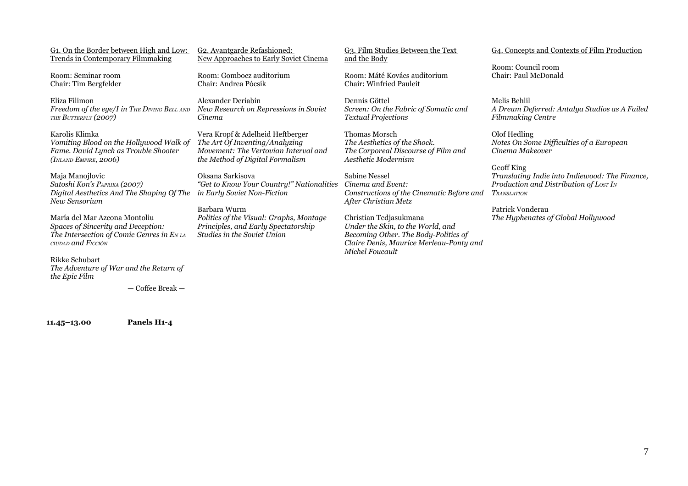G1. On the Border between High and Low: Trends in Contemporary Filmmaking

Room: Seminar room Chair: Tim Bergfelder

Eliza Filimon *Freedom of the eye/I in THE DIVING BELL AND New Research on Repressions in Soviet THE BUTTERFLY (2007)*

Karolis Klimka *Vomiting Blood on the Hollywood Walk of Fame. David Lynch as Trouble Shooter (INLAND EMPIRE, 2006)*

Maja Manojlovic *Satoshi Kon's PAPRIKA (2007) Digital Aesthetics And The Shaping Of The New Sensorium*

María del Mar Azcona Montoliu *Spaces of Sincerity and Deception: The Intersection of Comic Genres in E<sup>N</sup> LA CIUDAD and FICCIÓN*

Rikke Schubart *The Adventure of War and the Return of the Epic Film*

— Coffee Break —

**11.45–13.00 Panels H1-4**

G2. Avantgarde Refashioned: New Approaches to Early Soviet Cinema

Room: Gombocz auditorium Chair: Andrea Pócsik

Alexander Deriabin *Cinema*

Vera Kropf & Adelheid Heftberger *The Art Of Inventing/Analyzing Movement: The Vertovian Interval and the Method of Digital Formalism*

Oksana Sarkisova *"Get to Know Your Country!" Nationalities Cinema and Event: in Early Soviet Non-Fiction* 

Barbara Wurm *Politics of the Visual: Graphs, Montage Principles, and Early Spectatorship Studies in the Soviet Union*

G3. Film Studies Between the Text and the Body

Room: Máté Kovács auditorium Chair: Winfried Pauleit

Dennis Göttel *Screen: On the Fabric of Somatic and Textual Projections* 

Thomas Morsch *The Aesthetics of the Shock. The Corporeal Discourse of Film and Aesthetic Modernism*

Sabine Nessel *Constructions of the Cinematic Before and After Christian Metz*

Christian Tedjasukmana *Under the Skin, to the World, and Becoming Other. The Body-Politics of Claire Denis, Maurice Merleau-Ponty and Michel Foucault*

## G4. Concepts and Contexts of Film Production

Room: Council room Chair: Paul McDonald

Melis Behlil *A Dream Deferred: Antalya Studios as A Failed Filmmaking Centre*

Olof Hedling *Notes On Some Difficulties of a European Cinema Makeover*

Geoff King *Translating Indie into Indiewood: The Finance, Production and Distribution of LOST I<sup>N</sup> TRANSLATION*

Patrick Vonderau *The Hyphenates of Global Hollywood*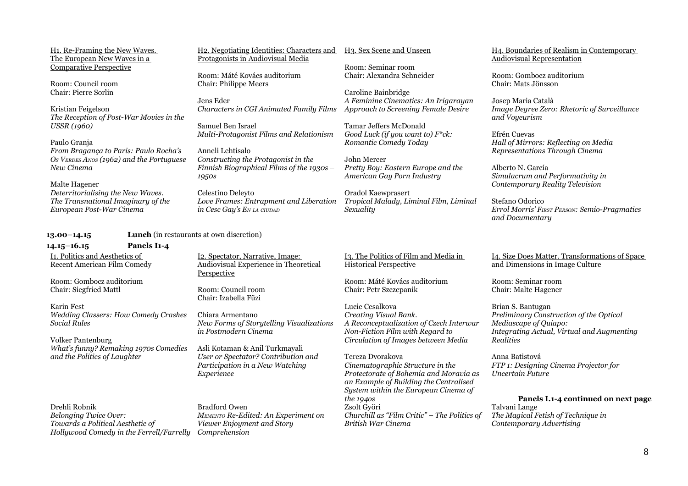H1. Re-Framing the New Waves. The European New Waves in a Comparative Perspective

Room: Council room Chair: Pierre Sorlin

Kristian Feigelson *The Reception of Post-War Movies in the USSR (1960)*

Paulo Granja

*From Bragança to Paris: Paulo Rocha's OS VERDES ANOS (1962) and the Portuguese New Cinema*

Malte Hagener *Deterritorialising the New Waves. The Transnational Imaginary of the European Post-War Cinema*

H2. Negotiating Identities: Characters and H3. Sex Scene and Unseen Protagonists in Audiovisual Media

Room: Máté Kovács auditorium Chair: Philippe Meers

Jens Eder *Characters in CGI Animated Family Films Approach to Screening Female Desire*

Samuel Ben Israel *Multi-Protagonist Films and Relationism*

Anneli Lehtisalo *Constructing the Protagonist in the Finnish Biographical Films of the 1930s – 1950s*

Celestino Deleyto *Love Frames: Entrapment and Liberation in Cesc Gay's E<sup>N</sup> LA CIUDAD*

## **13.00–14.15 Lunch** (in restaurants at own discretion)

**14.15–16.15 Panels I1-4** I1. Politics and Aesthetics of Recent American Film Comedy

Room: Gombocz auditorium Chair: Siegfried Mattl

Karin Fest *Wedding Classers: How Comedy Crashes Social Rules*

Volker Pantenburg *What's funny? Remaking 1970s Comedies and the Politics of Laughter*

Drehli Robnik *Belonging Twice Over: Towards a Political Aesthetic of Hollywood Comedy in the Ferrell/Farrelly*

I2. Spectator, Narrative, Image: Audiovisual Experience in Theoretical Perspective

Room: Council room Chair: Izabella Füzi

Chiara Armentano *New Forms of Storytelling Visualizations in Postmodern Cinema*

Asli Kotaman & Anil Turkmayali *User or Spectator? Contribution and Participation in a New Watching Experience*

Bradford Owen *MEMENTO Re-Edited: An Experiment on Viewer Enjoyment and Story Comprehension*

Room: Seminar room Chair: Alexandra Schneider

Caroline Bainbridge *A Feminine Cinematics: An Irigarayan*

Tamar Jeffers McDonald *Good Luck (if you want to) F\*ck: Romantic Comedy Today*

John Mercer *Pretty Boy: Eastern Europe and the American Gay Porn Industry*

Oradol Kaewprasert *Tropical Malady, Liminal Film, Liminal Sexuality*

I3. The Politics of Film and Media in Historical Perspective

Room: Máté Kovács auditorium Chair: Petr Szczepanik

Lucie Cesalkova *Creating Visual Bank. A Reconceptualization of Czech Interwar Non-Fiction Film with Regard to Circulation of Images between Media*

Tereza Dvorakova *Cinematographic Structure in the Protectorate of Bohemia and Moravia as an Example of Building the Centralised System within the European Cinema of the 194os* Zsolt Györi *Churchill as "Film Critic" – The Politics of British War Cinema*

H4. Boundaries of Realism in Contemporary Audiovisual Representation

Room: Gombocz auditorium Chair: Mats Jönsson

Josep Maria Català *Image Degree Zero: Rhetoric of Surveillance and Voyeurism*

Efrén Cuevas *Hall of Mirrors: Reflecting on Media Representations Through Cinema*

Alberto N. García *Simulacrum and Performativity in Contemporary Reality Television*

Stefano Odorico *Errol Morris' FIRST PERSON: Semio-Pragmatics and Documentary*

## I4. Size Does Matter. Transformations of Space and Dimensions in Image Culture

Room: Seminar room Chair: Malte Hagener

Brian S. Bantugan *Preliminary Construction of the Optical Mediascape of Quiapo: Integrating Actual, Virtual and Augmenting Realities*

Anna Batistová *FTP 1: Designing Cinema Projector for Uncertain Future*

**Panels I.1-4 continued on next page** Talvani Lange *The Magical Fetish of Technique in Contemporary Advertising*